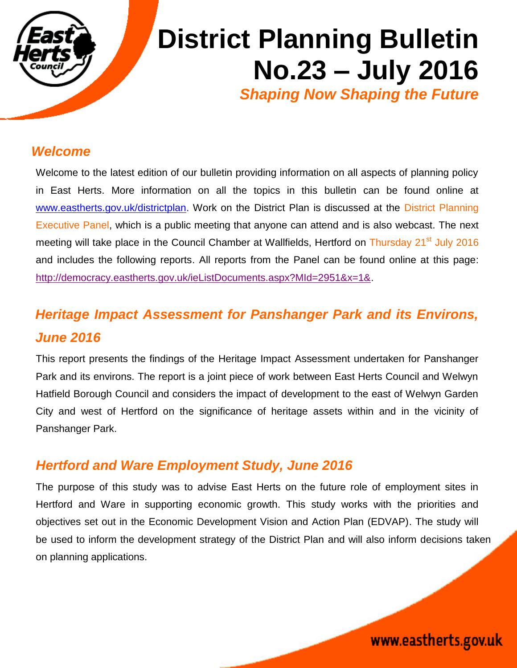

# **District Planning Bulletin No.23 – July 2016** *Shaping Now Shaping the Future*

#### *Welcome*

Welcome to the latest edition of our bulletin providing information on all aspects of planning policy in East Herts. More information on all the topics in this bulletin can be found online at [www.eastherts.gov.uk/districtplan.](http://www.eastherts.gov.uk/districtplan) Work on the District Plan is discussed at the District Planning Executive Panel, which is a public meeting that anyone can attend and is also webcast. The next meeting will take place in the Council Chamber at Wallfields, Hertford on Thursday 21<sup>st</sup> July 2016 and includes the following reports. All reports from the Panel can be found online at this page: [http://democracy.eastherts.gov.uk/ieListDocuments.aspx?MId=2951&x=1&.](http://democracy.eastherts.gov.uk/ieListDocuments.aspx?MId=2951&x=1&)

## *Heritage Impact Assessment for Panshanger Park and its Environs, June 2016*

This report presents the findings of the Heritage Impact Assessment undertaken for Panshanger Park and its environs. The report is a joint piece of work between East Herts Council and Welwyn Hatfield Borough Council and considers the impact of development to the east of Welwyn Garden City and west of Hertford on the significance of heritage assets within and in the vicinity of Panshanger Park.

#### *Hertford and Ware Employment Study, June 2016*

The purpose of this study was to advise East Herts on the future role of employment sites in Hertford and Ware in supporting economic growth. This study works with the priorities and objectives set out in the Economic Development Vision and Action Plan (EDVAP). The study will be used to inform the development strategy of the District Plan and will also inform decisions taken on planning applications.

www.eastherts.gov.uk